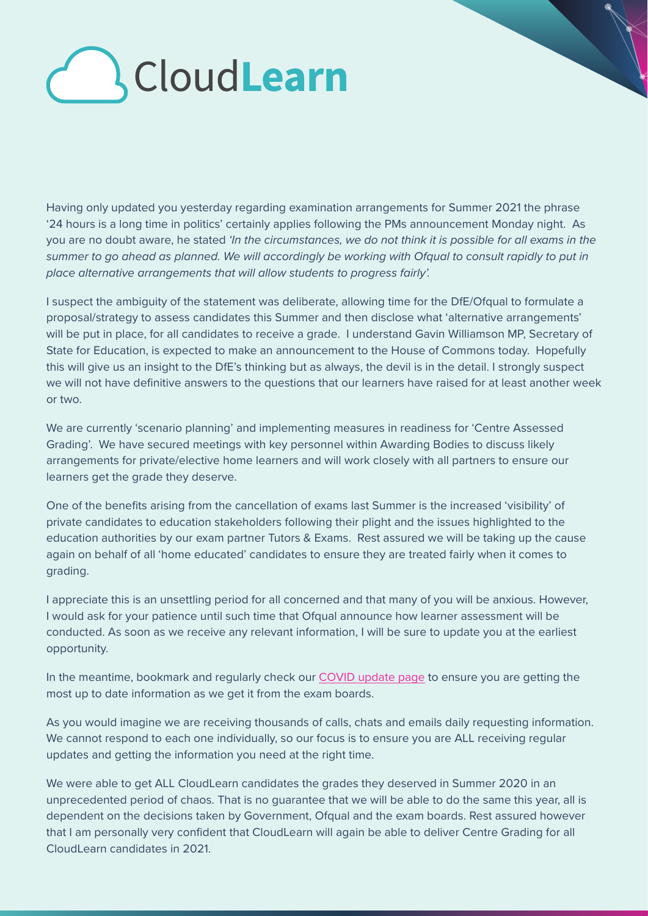# **CloudLearn**

Having only updated you yesterday regarding examination arrangements for Summer 2021 the phrase '24 hours is a long time in politics' certainly applies following the PMs announcement Monday night. As you are no doubt aware, he stated *'In the circumstances, we do not think it is possible for all exams in the summer to go ahead as planned. We will accordingly be working with Ofqual to consult rapidly to put in place alternative arrangements that will allow students to progress fairly'.* 

I suspect the ambiguity of the statement was deliberate, allowing time for the DfE/Ofqual to formulate a proposal/strategy to assess candidates this Summer and then disclose what 'alternative arrangements' will be put in place, for all candidates to receive a grade. I understand Gavin Williamson MP, Secretary of State for Education, is expected to make an announcement to the House of Commons today. Hopefully this will give us an insight to the DfE's thinking but as always, the devil is in the detail. I strongly suspect we will not have definitive answers to the questions that our learners have raised for at least another week or two.

We are currently 'scenario planning' and implementing measures in readiness for 'Centre Assessed Grading'. We have secured meetings with key personnel within Awarding Bodies to discuss likely arrangements for private/elective home learners and will work closely with all partners to ensure our learners get the grade they deserve.

One of the benefits arising from the cancellation of exams last Summer is the increased 'visibility' of private candidates to education stakeholders following their plight and the issues highlighted to the education authorities by our exam partner Tutors & Exams. Rest assured we will be taking up the cause again on behalf of all 'home educated' candidates to ensure they are treated fairly when it comes to grading.

I appreciate this is an unsettling period for all concerned and that many of you will be anxious. However, I would ask for your patience until such time that Ofqual announce how learner assessment will be conducted. As soon as we receive any relevant information, I will be sure to update you at the earliest opportunity.

In the meantime, bookmark and regularly check our [COVID update page](https://cloudlearn.co.uk/Covid-19) to ensure you are getting the most up to date information as we get it from the exam boards.

As you would imagine we are receiving thousands of calls, chats and emails daily requesting information. We cannot respond to each one individually, so our focus is to ensure you are ALL receiving regular updates and getting the information you need at the right time.

We were able to get ALL CloudLearn candidates the grades they deserved in Summer 2020 in an unprecedented period of chaos. That is no guarantee that we will be able to do the same this year, all is dependent on the decisions taken by Government, Ofqual and the exam boards. Rest assured however that I am personally very confident that CloudLearn will again be able to deliver Centre Grading for all CloudLearn candidates in 2021.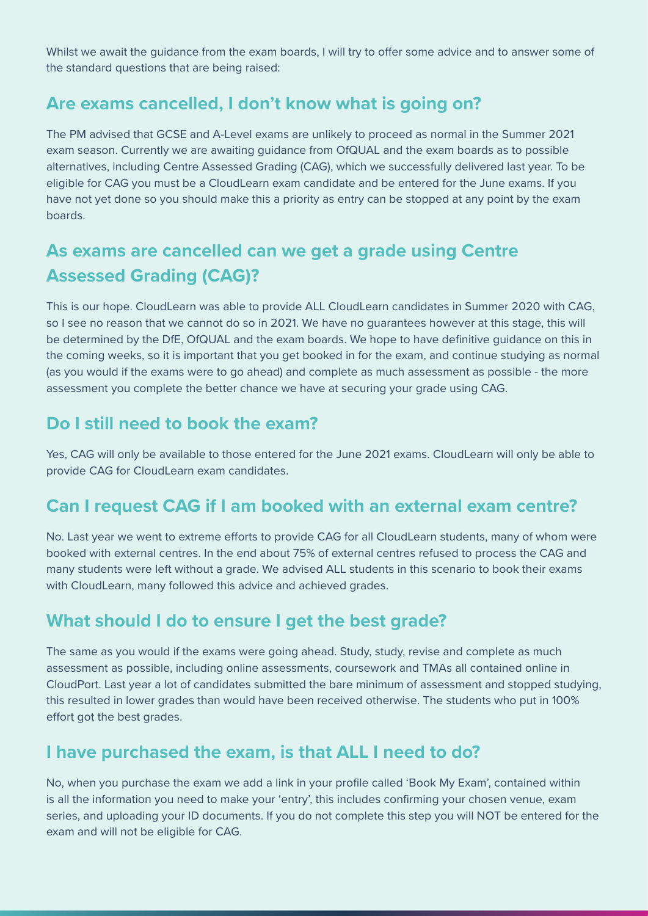Whilst we await the guidance from the exam boards, I will try to offer some advice and to answer some of the standard questions that are being raised:

#### **Are exams cancelled, I don't know what is going on?**

The PM advised that GCSE and A-Level exams are unlikely to proceed as normal in the Summer 2021 exam season. Currently we are awaiting guidance from OfQUAL and the exam boards as to possible alternatives, including Centre Assessed Grading (CAG), which we successfully delivered last year. To be eligible for CAG you must be a CloudLearn exam candidate and be entered for the June exams. If you have not yet done so you should make this a priority as entry can be stopped at any point by the exam boards.

## **As exams are cancelled can we get a grade using Centre Assessed Grading (CAG)?**

This is our hope. CloudLearn was able to provide ALL CloudLearn candidates in Summer 2020 with CAG, so I see no reason that we cannot do so in 2021. We have no guarantees however at this stage, this will be determined by the DfE, OfQUAL and the exam boards. We hope to have definitive guidance on this in the coming weeks, so it is important that you get booked in for the exam, and continue studying as normal (as you would if the exams were to go ahead) and complete as much assessment as possible - the more assessment you complete the better chance we have at securing your grade using CAG.

## **Do I still need to book the exam?**

Yes, CAG will only be available to those entered for the June 2021 exams. CloudLearn will only be able to provide CAG for CloudLearn exam candidates.

## **Can I request CAG if I am booked with an external exam centre?**

No. Last year we went to extreme efforts to provide CAG for all CloudLearn students, many of whom were booked with external centres. In the end about 75% of external centres refused to process the CAG and many students were left without a grade. We advised ALL students in this scenario to book their exams with CloudLearn, many followed this advice and achieved grades.

## **What should I do to ensure I get the best grade?**

The same as you would if the exams were going ahead. Study, study, revise and complete as much assessment as possible, including online assessments, coursework and TMAs all contained online in CloudPort. Last year a lot of candidates submitted the bare minimum of assessment and stopped studying, this resulted in lower grades than would have been received otherwise. The students who put in 100% effort got the best grades.

## **I have purchased the exam, is that ALL I need to do?**

No, when you purchase the exam we add a link in your profile called 'Book My Exam', contained within is all the information you need to make your 'entry', this includes confirming your chosen venue, exam series, and uploading your ID documents. If you do not complete this step you will NOT be entered for the exam and will not be eligible for CAG.